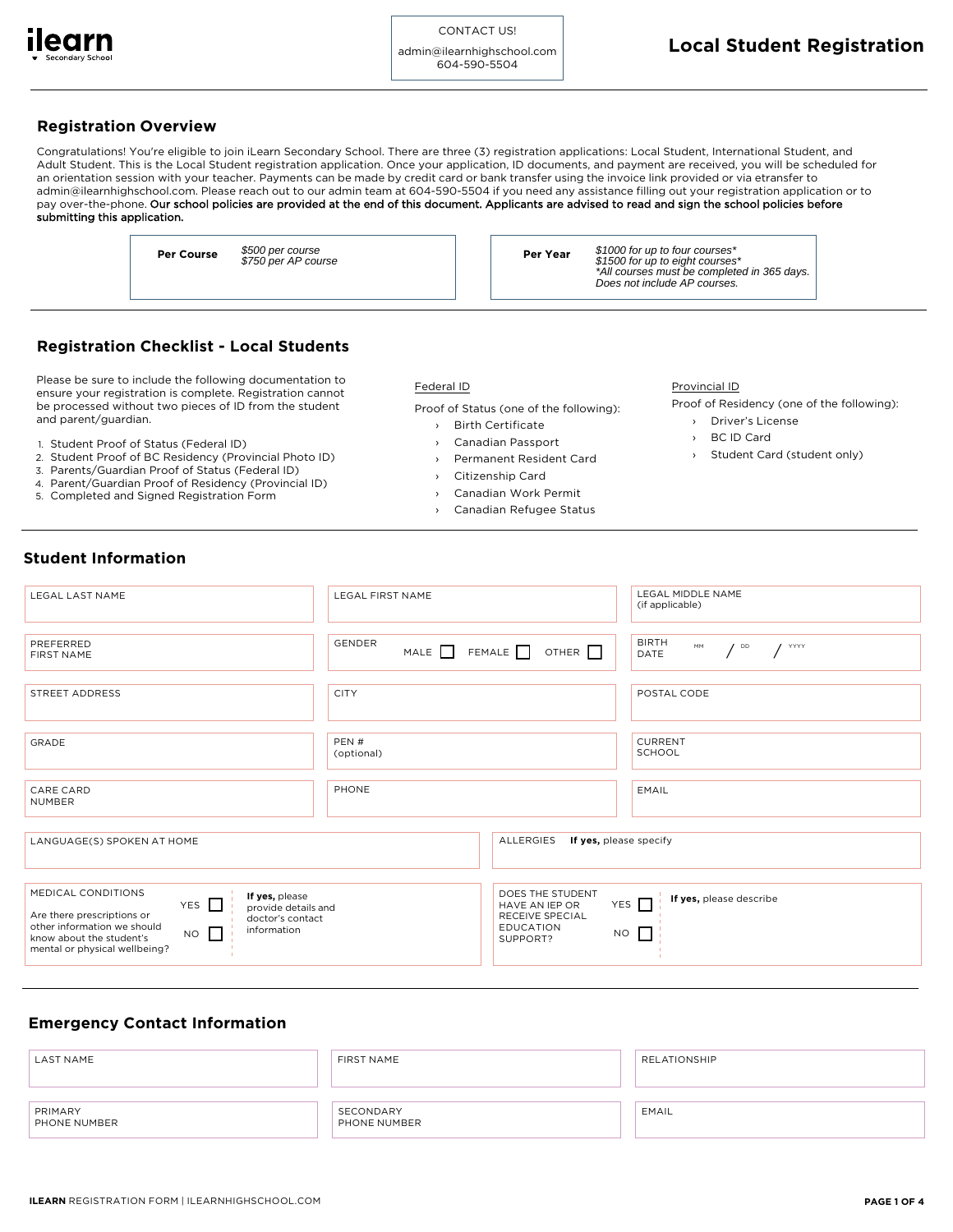

admin@ilearnhighschool.com 604-590-5504

# **Registration O v erview**

Congratulations! You're eligible to join iLearn Secondary School. There are three (3) registration applications: Local Student, International Student, and Adult Student. This is the Local Student registration application. Once your application, ID documents, and payment are received, you will be scheduled for an orientation session with your teacher. Payments can be made by credit card or bank transfer using the invoice link provided or via etransfer to admin@ilearnhighschool.com. Please reach out to our admin team at 604-590-5504 if you need any assistance filling out your registration application or to pay over-the-phone. Our school policies are provided at the end of this document. Applicants are advised to read and sign the school policies before submitting this application.

> **Per Course**  $\frac{$500}{6750}$  per course **Per Year Per Year** \$500 per course \$750 per AP course

\$1000 for up to four courses\* \$1500 for up to eight courses\* \*All courses must be completed in 365 days. Does not include AP courses.

# **Registration Checklist - Local Students**

Please be sure to include the following documentation to ensure your registration is complete. Registration cannot be processed without two pieces of ID from the student and parent/guardian.

- 1. Student Proof of Status (Federal ID)
- 2. Student Proof of BC Residency (Provincial Photo ID)
- 3. Parents/Guardian Proof of Status (Federal ID)
- 4. Parent/Guardian Proof of Residency (Provincial ID)
- 5. Completed and Signed Registration Form

#### Federal ID

Proof of Status (one of the following):

- Birth C ertificate
- Canadian Passport
- Permanent Resident Card
- ››››  $\rightarrow$ Ci tiz e nship Card
- Canadian Work Permit
- › › Canadian Refugee Status

#### Provincial ID

- Proof of Residency (one of the following):
	- › Driver's License
	- ›› BC ID Card
	- Student Card (student only)

# **Student Information**

| LEGAL LAST NAME                                                                                                                                                                                                                                         | <b>LEGAL FIRST NAME</b> |                                                                                       | LEGAL MIDDLE NAME<br>(if applicable)                             |  |  |
|---------------------------------------------------------------------------------------------------------------------------------------------------------------------------------------------------------------------------------------------------------|-------------------------|---------------------------------------------------------------------------------------|------------------------------------------------------------------|--|--|
| PREFERRED<br>FIRST NAME                                                                                                                                                                                                                                 | <b>GENDER</b>           | MALE $\Box$ FEMALE $\Box$ OTHER $\Box$                                                | <b>BIRTH</b><br>MM<br>$\sqrt{2}$<br>$\frac{1}{\sqrt{2}}$<br>DATE |  |  |
| STREET ADDRESS                                                                                                                                                                                                                                          | <b>CITY</b>             |                                                                                       | POSTAL CODE                                                      |  |  |
| GRADE                                                                                                                                                                                                                                                   | PEN#<br>(optional)      |                                                                                       | <b>CURRENT</b><br>SCHOOL                                         |  |  |
| CARE CARD<br><b>NUMBER</b>                                                                                                                                                                                                                              | PHONE                   |                                                                                       | EMAIL                                                            |  |  |
| LANGUAGE(S) SPOKEN AT HOME                                                                                                                                                                                                                              |                         | ALLERGIES<br>If yes, please specify                                                   |                                                                  |  |  |
| MEDICAL CONDITIONS<br>If yes, please<br>YES $\Gamma$<br>provide details and<br>Are there prescriptions or<br>doctor's contact<br>other information we should<br>information<br>$NO$ $\Box$<br>know about the student's<br>mental or physical wellbeing? |                         | DOES THE STUDENT<br>HAVE AN IEP OR<br>RECEIVE SPECIAL<br><b>EDUCATION</b><br>SUPPORT? | If yes, please describe<br>YES $\Box$<br>$NO$ $\Box$             |  |  |

# **Emergency Contact Information**

| <b>LAST NAME</b>        | FIRST NAME                | RELATIONSHIP |
|-------------------------|---------------------------|--------------|
| PRIMARY<br>PHONE NUMBER | SECONDARY<br>PHONE NUMBER | EMAIL        |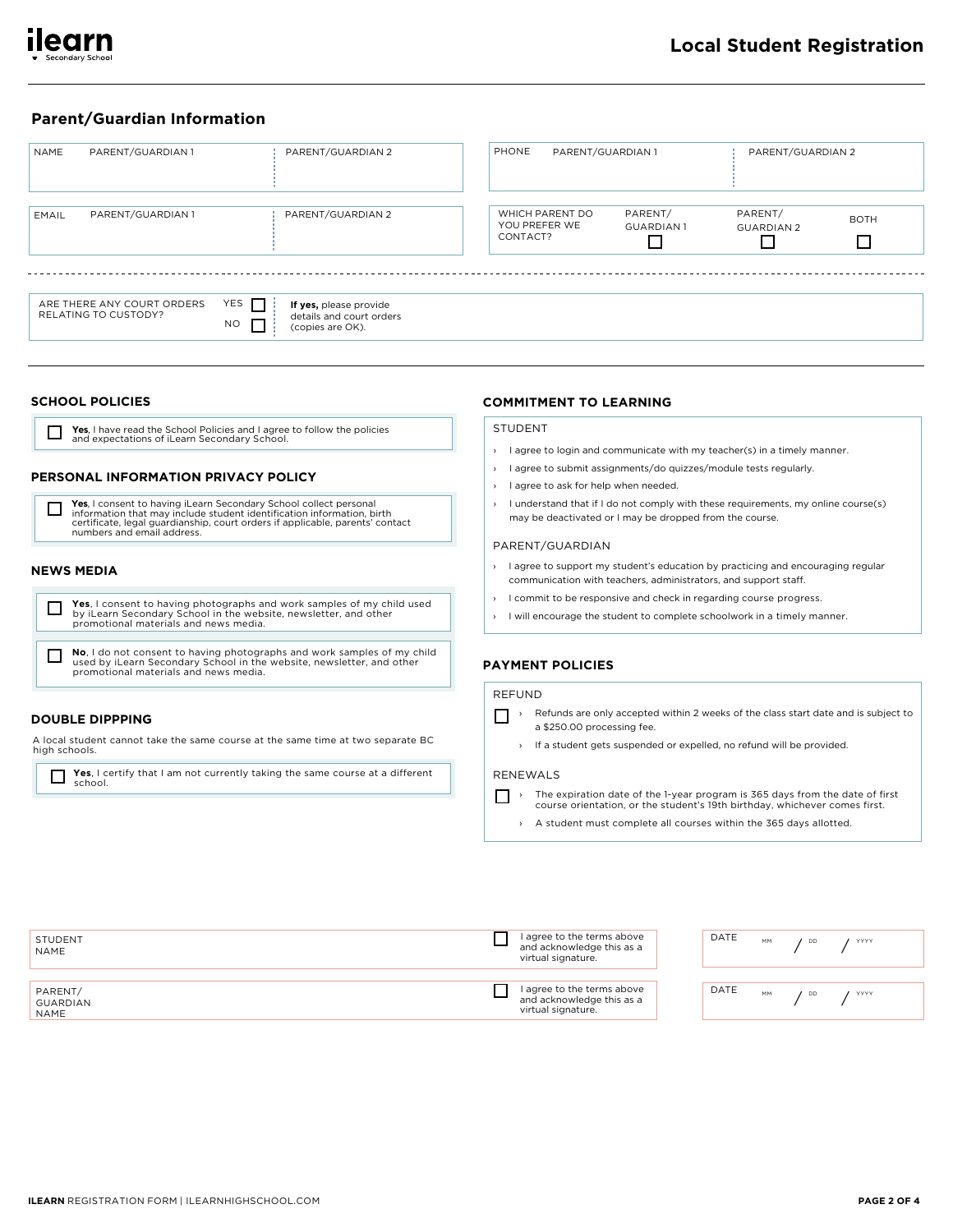

# **Parent/Guardian Information**

| <b>NAME</b> | PARENT/GUARDIAN 1                                  | PARENT/GUARDIAN 2                                                                                | PHONE    | PARENT/GUARDIAN 1                |                             | PARENT/GUARDIAN 2            |                  |
|-------------|----------------------------------------------------|--------------------------------------------------------------------------------------------------|----------|----------------------------------|-----------------------------|------------------------------|------------------|
| EMAIL       | PARENT/GUARDIAN 1                                  | PARENT/GUARDIAN 2                                                                                | CONTACT? | WHICH PARENT DO<br>YOU PREFER WE | PARENT/<br><b>GUARDIAN1</b> | PARENT/<br><b>GUARDIAN 2</b> | <b>BOTH</b><br>П |
|             | ARE THERE ANY COURT ORDERS<br>RELATING TO CUSTODY? | YES I<br>If yes, please provide<br>details and court orders<br>$\Box$<br>NO.<br>(copies are OK). |          |                                  |                             |                              |                  |

### **SCHOOL POLICIES**

Yes, I have read the School Policies and I agree to follow the policies and expectations of iLearn Secondary School. П

# PERSONAL INFORMATION PRIVACY POLICY

Yes, I consent to having iLearn Secondary School collect personal<br>information that may include student identification information, birth<br>certificate, legal guardianship, court orders if applicable, parents' contact  $\Box$ numbers and email address.

### **NEWS MEDIA**

 $\Box$ 



No, I do not consent to having photographs and work samples of my child used by iLearn Secondary School in the website, newsletter, and other<br>promotional materials and news media.

# **DOUBLE DIPPPING**

A local student cannot take the same course at the same time at two separate BC high schools.

**Theory** Yes, I certify that I am not currently taking the same course at a different school.

# **COMMITMENT TO LEARNING**

### **STUDENT**

- > I agree to login and communicate with my teacher(s) in a timely manner.
- I agree to submit assignments/do quizzes/module tests regularly.
- $\rightarrow$  Lagree to ask for help when needed.
- > I understand that if I do not comply with these requirements, my online course(s) may be deactivated or I may be dropped from the course.

#### PARENT/GUARDIAN

- > I agree to support my student's education by practicing and encouraging regular communication with teachers, administrators, and support staff.
- I commit to be responsive and check in regarding course progress.
- > I will encourage the student to complete schoolwork in a timely manner.

### **PAYMENT POLICIES**

### **REFUND**

- Refunds are only accepted within 2 weeks of the class start date and is subject to a \$250.00 processing fee.
	- > If a student gets suspended or expelled, no refund will be provided.

### RENEWALS

- The expiration date of the 1-year program is 365 days from the date of first course orientation, or the student's 19th birthday, whichever comes first.
	- > A student must complete all courses within the 365 days allotted.

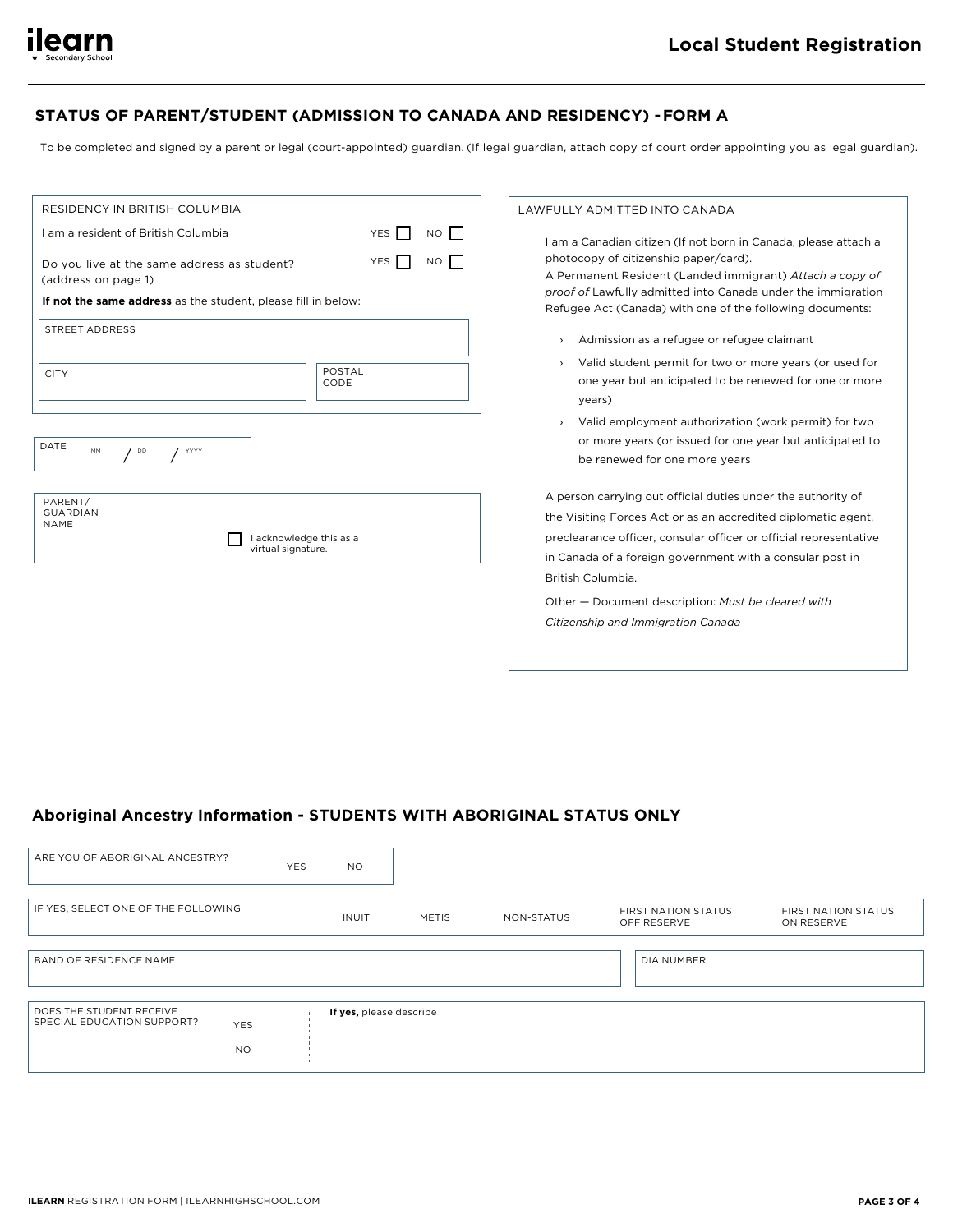

# STATUS OF PARENT/STUDENT (ADMISSION TO CANADA AND RESIDENCY) - FORM A

To be completed and signed by a parent or legal (court-appointed) guardian. (If legal guardian, attach copy of court order appointing you as legal guardian).

| RESIDENCY IN BRITISH COLUMBIA                                      |                                               |                |  |    |  |  |
|--------------------------------------------------------------------|-----------------------------------------------|----------------|--|----|--|--|
| Lam a resident of British Columbia                                 |                                               |                |  | NO |  |  |
| Do you live at the same address as student?<br>(address on page 1) | YES                                           | <b>NO</b>      |  |    |  |  |
| If not the same address as the student, please fill in below:      |                                               |                |  |    |  |  |
| STREET ADDRESS                                                     |                                               |                |  |    |  |  |
| <b>CITY</b>                                                        |                                               | POSTAL<br>CODE |  |    |  |  |
| DATE<br>MM<br>DD<br>YYYY                                           |                                               |                |  |    |  |  |
| PARENT/<br><b>GUARDIAN</b><br><b>NAME</b>                          | I acknowledge this as a<br>virtual signature. |                |  |    |  |  |

#### LAWFULLY ADMITTED INTO CANADA

I am a Canadian citizen (If not born in Canada, please attach a photocopy of citizenship paper/card).

A Permanent Resident (Landed immigrant) Attach a copy of proof of Lawfully admitted into Canada under the immigration Refugee Act (Canada) with one of the following documents:

- > Admission as a refugee or refugee claimant
- Valid student permit for two or more years (or used for one year but anticipated to be renewed for one or more vears)
- > Valid employment authorization (work permit) for two or more years (or issued for one year but anticipated to be renewed for one more years

A person carrying out official duties under the authority of the Visiting Forces Act or as an accredited diplomatic agent, preclearance officer, consular officer or official representative in Canada of a foreign government with a consular post in British Columbia.

Other - Document description: Must be cleared with Citizenship and Immigration Canada

# Aboriginal Ancestry Information - STUDENTS WITH ABORIGINAL STATUS ONLY

| ARE YOU OF ABORIGINAL ANCESTRY?                                                   | <b>YES</b> | <b>NO</b>               |              |            |                                           |                                          |
|-----------------------------------------------------------------------------------|------------|-------------------------|--------------|------------|-------------------------------------------|------------------------------------------|
| IF YES, SELECT ONE OF THE FOLLOWING                                               |            | <b>INUIT</b>            | <b>METIS</b> | NON-STATUS | <b>FIRST NATION STATUS</b><br>OFF RESERVE | <b>FIRST NATION STATUS</b><br>ON RESERVE |
| BAND OF RESIDENCE NAME                                                            |            |                         |              |            | DIA NUMBER                                |                                          |
| DOES THE STUDENT RECEIVE<br>SPECIAL EDUCATION SUPPORT?<br><b>YES</b><br><b>NO</b> |            | If yes, please describe |              |            |                                           |                                          |